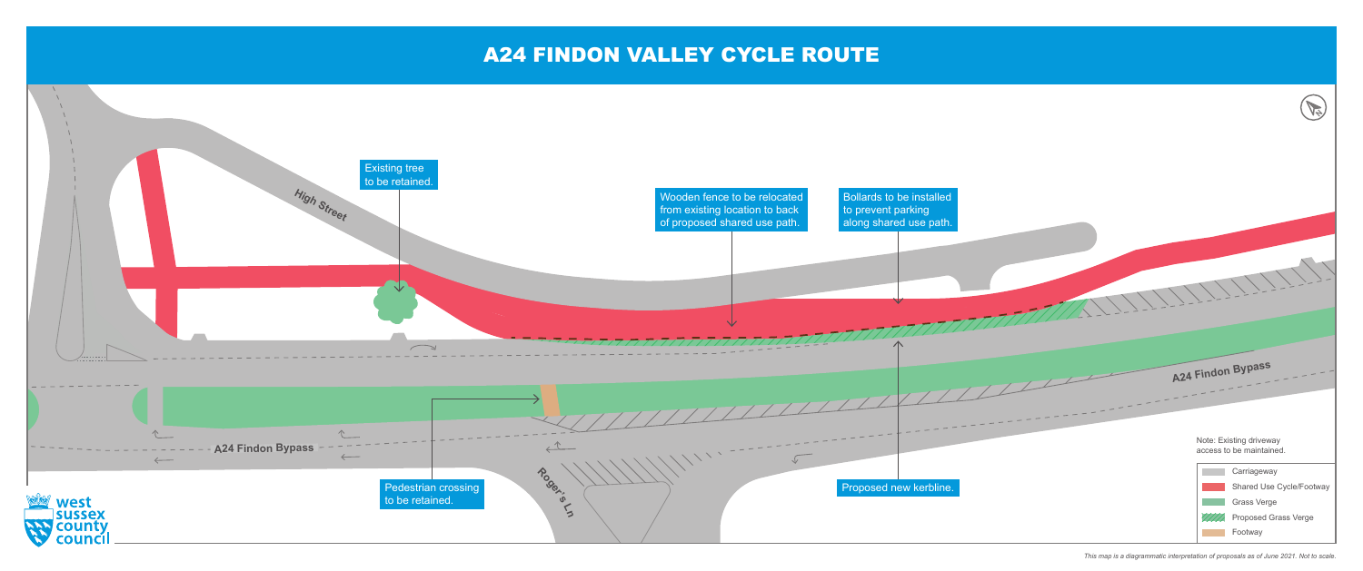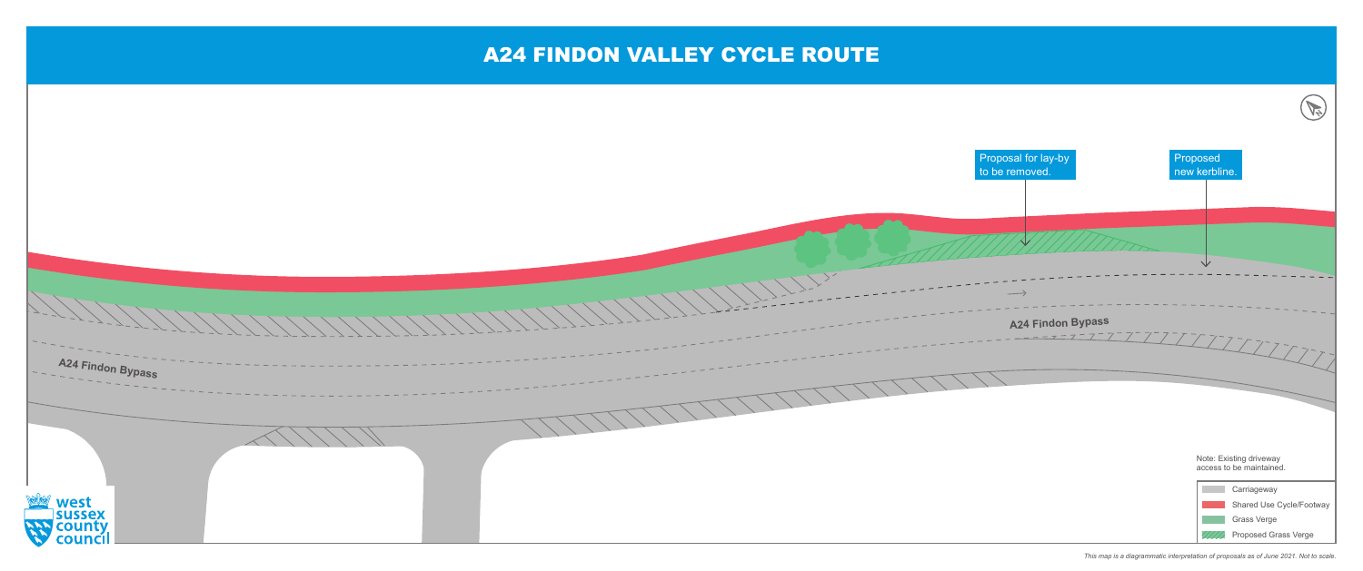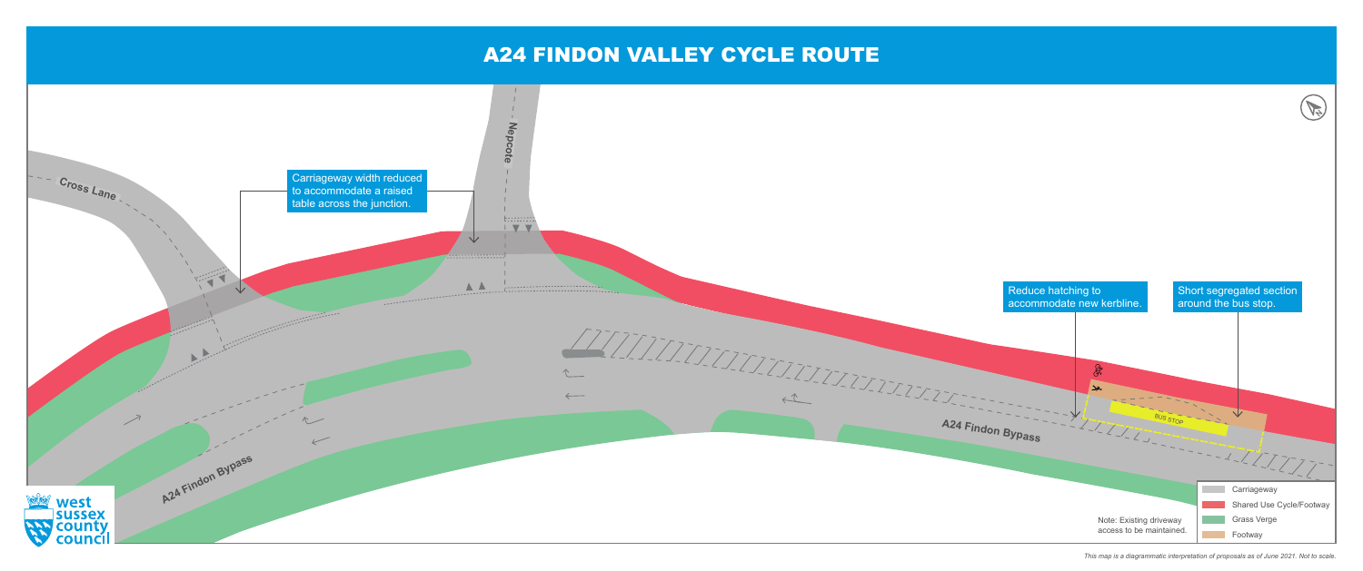

*This map is a diagrammatic interpretation of proposals as of June 2021. Not to scale.*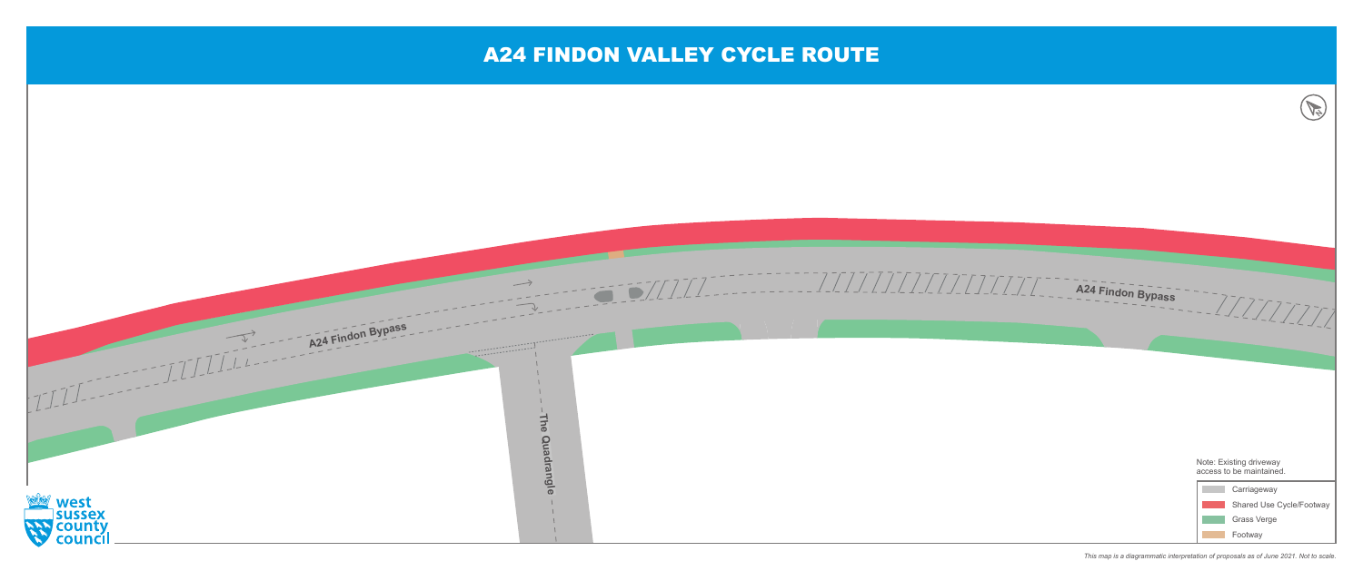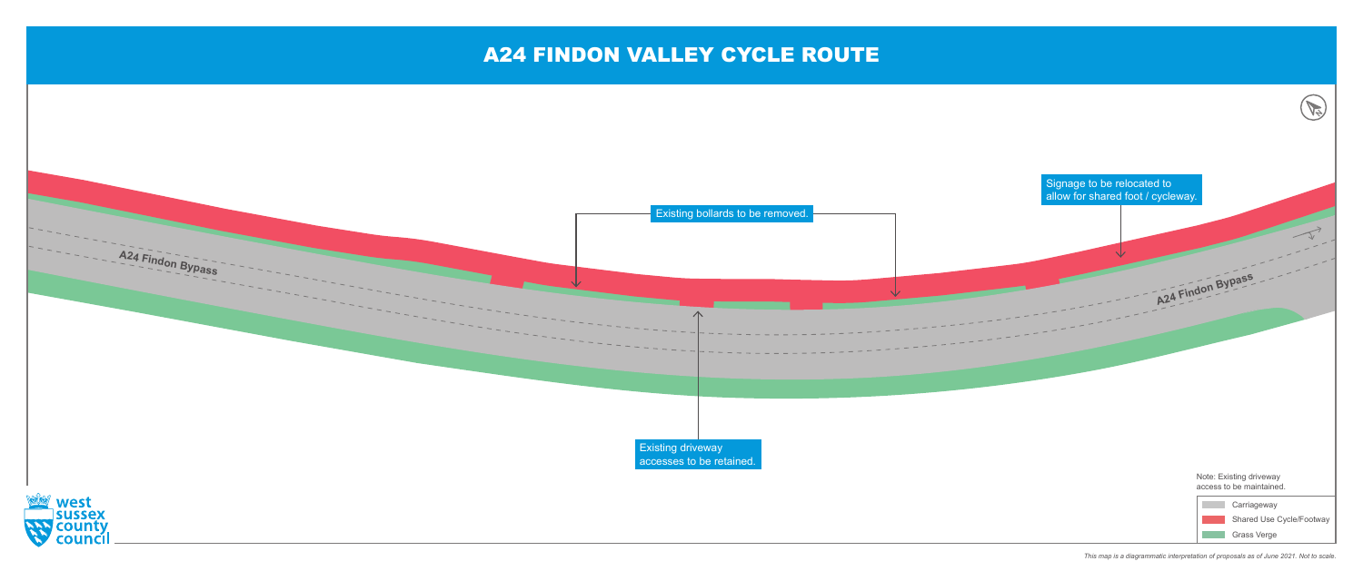

*This map is a diagrammatic interpretation of proposals as of June 2021. Not to scale.*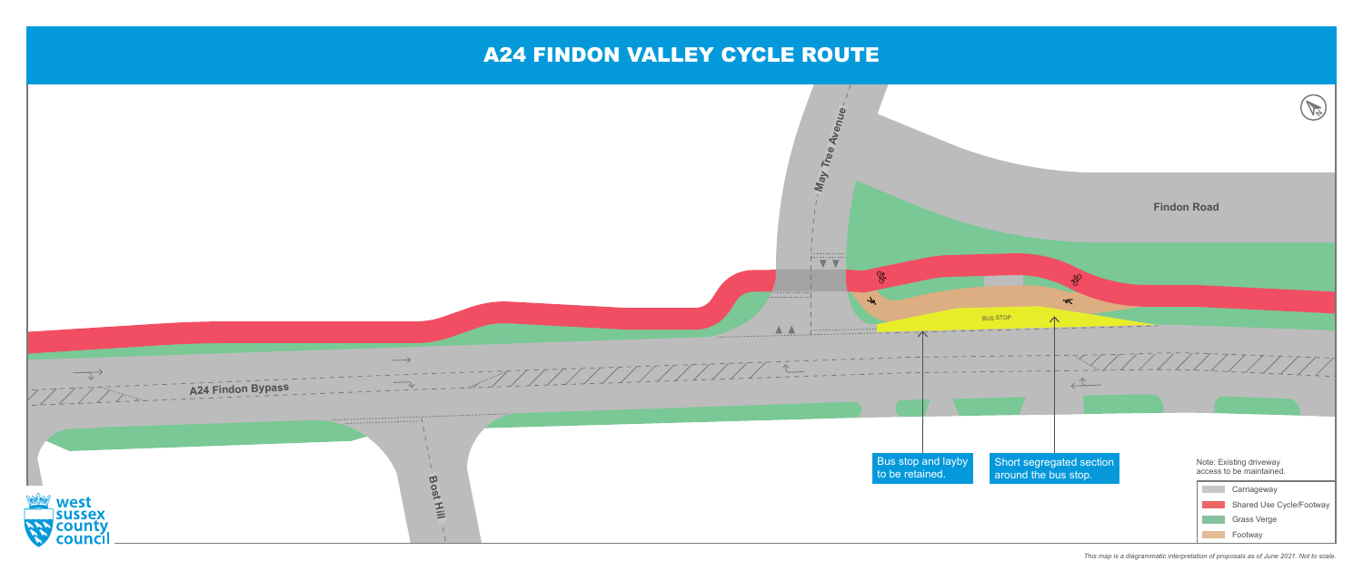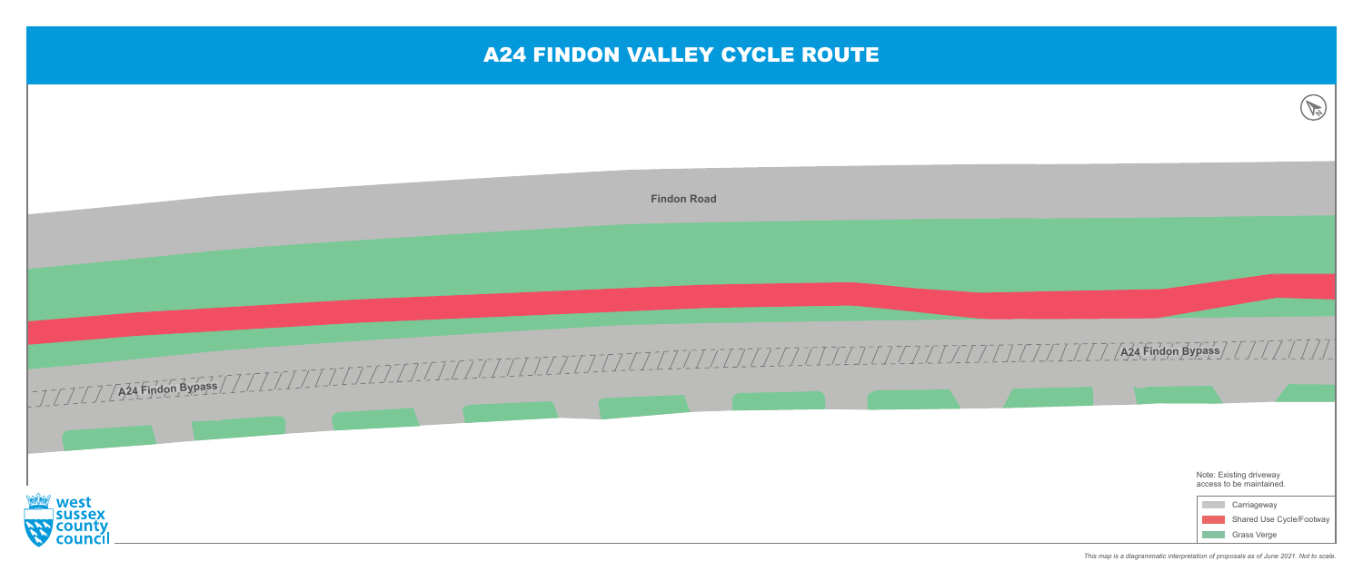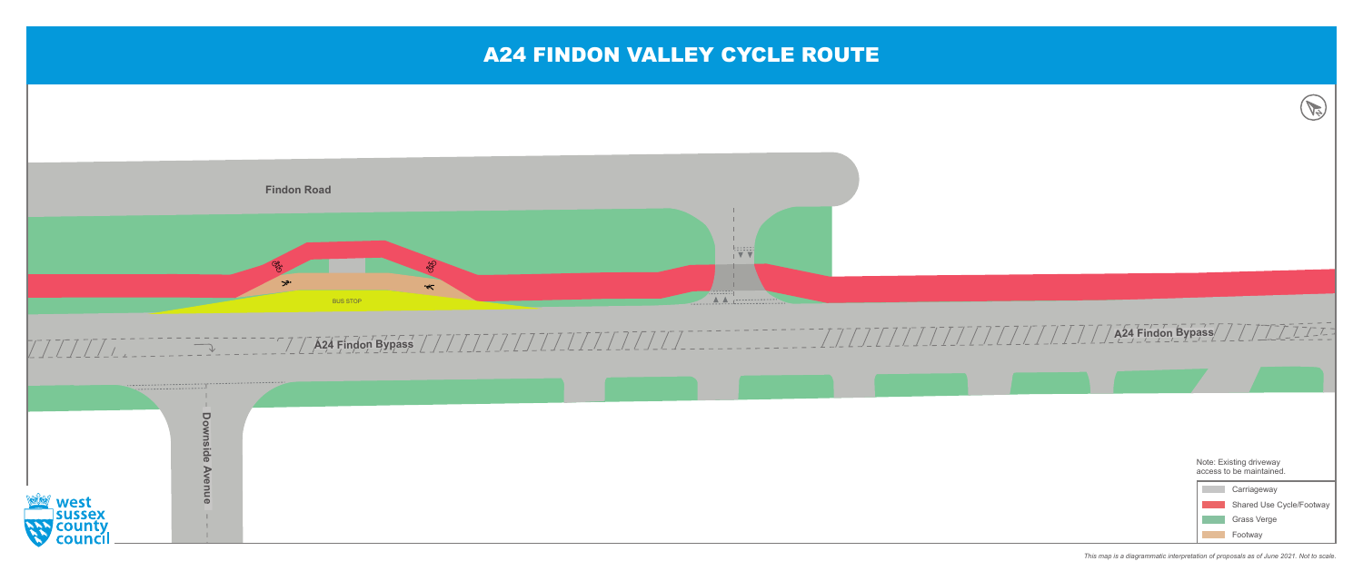

*This map is a diagrammatic interpretation of proposals as of June 2021. Not to scale.*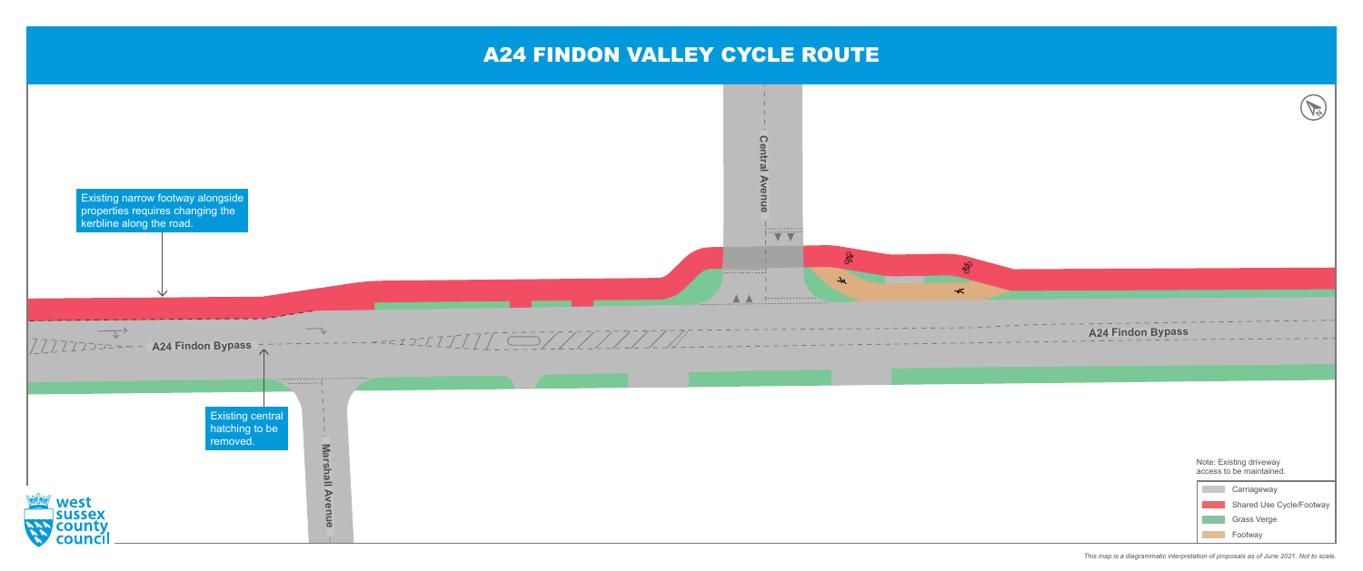